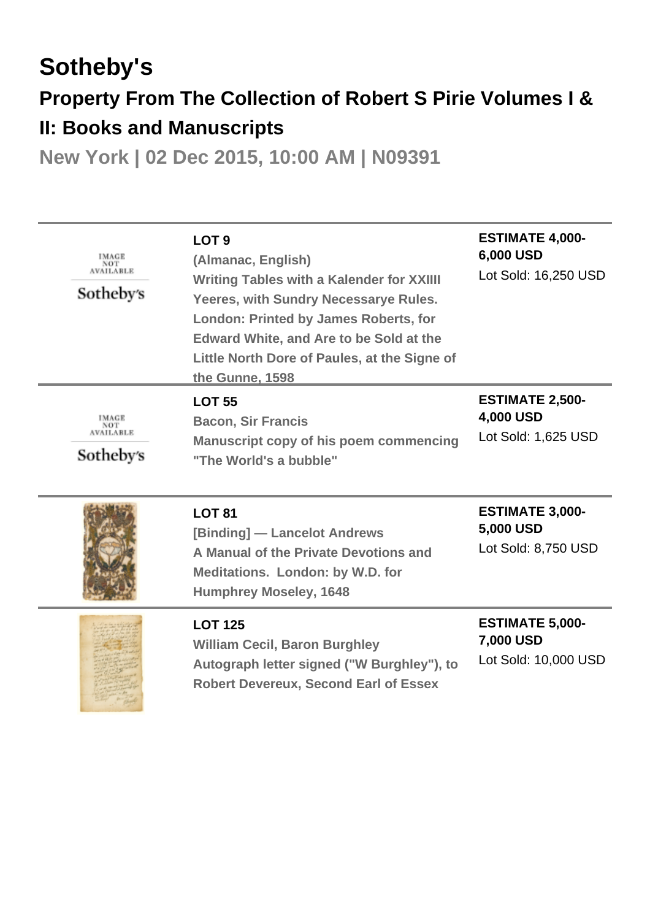# **Sotheby's Property From The Collection of Robert S Pirie Volumes I & II: Books and Manuscripts**

**New York | 02 Dec 2015, 10:00 AM | N09391**

| IMAGE<br><b>NOT</b><br><b>AVAILABLE</b><br>Sotheby's | LOT <sub>9</sub><br>(Almanac, English)<br><b>Writing Tables with a Kalender for XXIIII</b><br>Yeeres, with Sundry Necessarye Rules.<br><b>London: Printed by James Roberts, for</b><br><b>Edward White, and Are to be Sold at the</b><br>Little North Dore of Paules, at the Signe of<br>the Gunne, 1598 | <b>ESTIMATE 4,000-</b><br>6,000 USD<br>Lot Sold: 16,250 USD |
|------------------------------------------------------|----------------------------------------------------------------------------------------------------------------------------------------------------------------------------------------------------------------------------------------------------------------------------------------------------------|-------------------------------------------------------------|
| IMAGE<br><b>NOT</b><br><b>AVAILABLE</b><br>Sotheby's | <b>LOT 55</b><br><b>Bacon, Sir Francis</b><br>Manuscript copy of his poem commencing<br>"The World's a bubble"                                                                                                                                                                                           | <b>ESTIMATE 2,500-</b><br>4,000 USD<br>Lot Sold: 1,625 USD  |
|                                                      | <b>LOT 81</b><br>[Binding] — Lancelot Andrews<br>A Manual of the Private Devotions and<br><b>Meditations. London: by W.D. for</b><br><b>Humphrey Moseley, 1648</b>                                                                                                                                       | <b>ESTIMATE 3,000-</b><br>5,000 USD<br>Lot Sold: 8,750 USD  |
|                                                      | <b>LOT 125</b><br><b>William Cecil, Baron Burghley</b><br>Autograph letter signed ("W Burghley"), to<br><b>Robert Devereux, Second Earl of Essex</b>                                                                                                                                                     | <b>ESTIMATE 5,000-</b><br>7,000 USD<br>Lot Sold: 10,000 USD |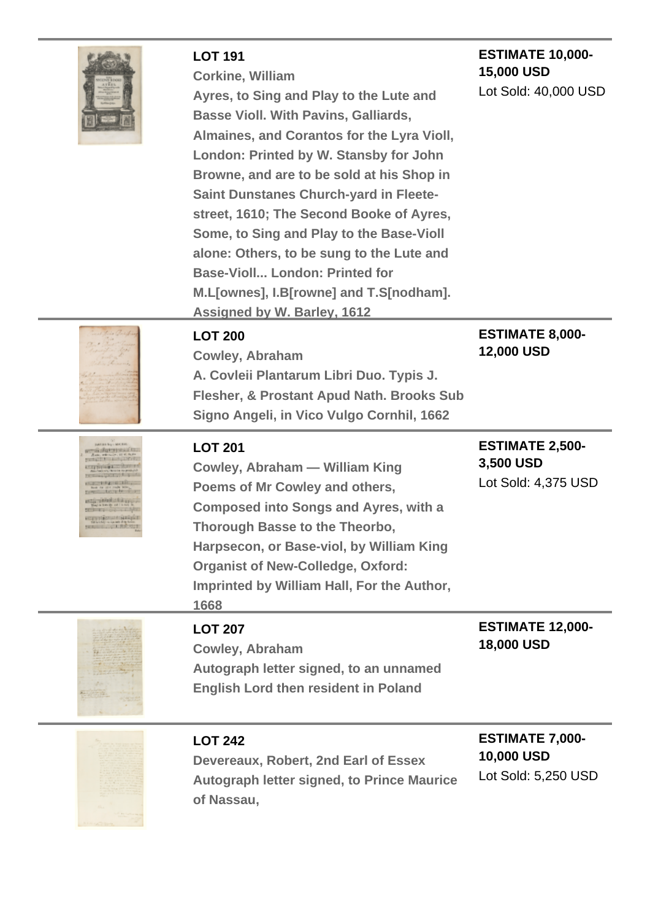|                                                                                                                                                                                                                                                     | <b>LOT 191</b><br><b>Corkine, William</b><br>Ayres, to Sing and Play to the Lute and<br><b>Basse Violl. With Pavins, Galliards,</b><br>Almaines, and Corantos for the Lyra Violl,<br>London: Printed by W. Stansby for John<br>Browne, and are to be sold at his Shop in<br><b>Saint Dunstanes Church-yard in Fleete-</b><br>street, 1610; The Second Booke of Ayres,<br>Some, to Sing and Play to the Base-Violl<br>alone: Others, to be sung to the Lute and | <b>ESTIMATE 10,000-</b><br>15,000 USD<br>Lot Sold: 40,000 USD |
|-----------------------------------------------------------------------------------------------------------------------------------------------------------------------------------------------------------------------------------------------------|----------------------------------------------------------------------------------------------------------------------------------------------------------------------------------------------------------------------------------------------------------------------------------------------------------------------------------------------------------------------------------------------------------------------------------------------------------------|---------------------------------------------------------------|
|                                                                                                                                                                                                                                                     | <b>Base-Violl London: Printed for</b><br>M.L[ownes], I.B[rowne] and T.S[nodham].<br><b>Assigned by W. Barley, 1612</b>                                                                                                                                                                                                                                                                                                                                         |                                                               |
|                                                                                                                                                                                                                                                     | <b>LOT 200</b><br><b>Cowley, Abraham</b><br>A. Covleii Plantarum Libri Duo. Typis J.<br>Flesher, & Prostant Apud Nath. Brooks Sub<br>Signo Angeli, in Vico Vulgo Cornhil, 1662                                                                                                                                                                                                                                                                                 | <b>ESTIMATE 8,000-</b><br>12,000 USD                          |
| <b>SWEIN RU-MICRA</b><br><b>COMPANY AND REAL PROPERTY</b><br><b>STERN STATISTICS</b><br><b>State of the American</b><br><b>PERSONAL RECORD FOR 1999</b><br><b>STATISTICS</b><br><b>TELEPHONE SEA</b><br><b>ACTIVITIES AND LIFE OF ALL AND STATE</b> | <b>LOT 201</b><br>Cowley, Abraham - William King<br>Poems of Mr Cowley and others,<br><b>Composed into Songs and Ayres, with a</b><br>Thorough Basse to the Theorbo,<br>Harpsecon, or Base-viol, by William King<br><b>Organist of New-Colledge, Oxford:</b><br>Imprinted by William Hall, For the Author,<br>1668                                                                                                                                             | <b>ESTIMATE 2,500-</b><br>3,500 USD<br>Lot Sold: 4,375 USD    |
|                                                                                                                                                                                                                                                     | <b>LOT 207</b><br><b>Cowley, Abraham</b><br>Autograph letter signed, to an unnamed<br><b>English Lord then resident in Poland</b>                                                                                                                                                                                                                                                                                                                              | <b>ESTIMATE 12,000-</b><br>18,000 USD                         |
|                                                                                                                                                                                                                                                     | <b>LOT 242</b><br>Devereaux, Robert, 2nd Earl of Essex<br><b>Autograph letter signed, to Prince Maurice</b><br>of Nassau,                                                                                                                                                                                                                                                                                                                                      | <b>ESTIMATE 7,000-</b><br>10,000 USD<br>Lot Sold: 5,250 USD   |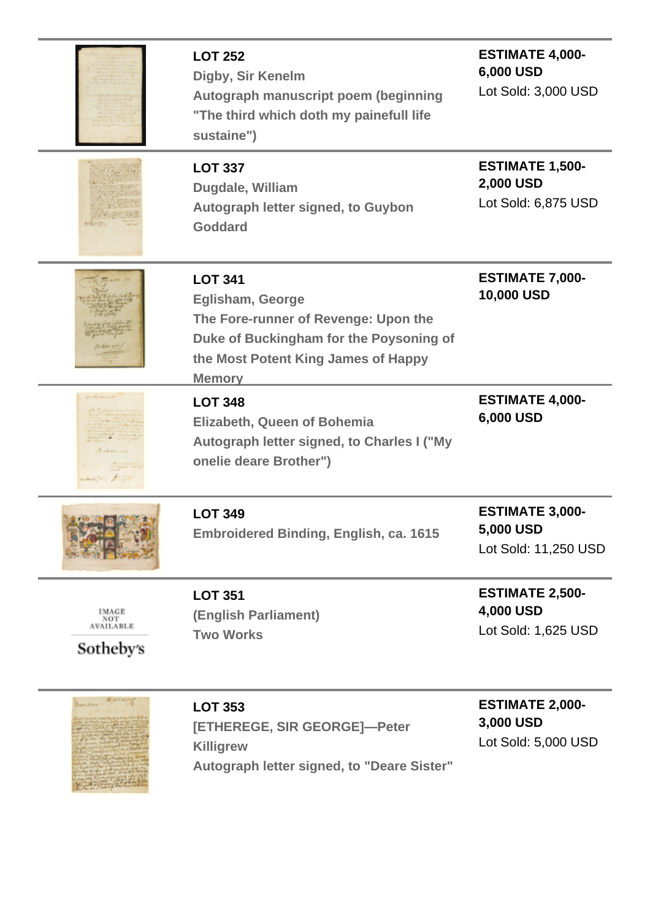|                                               | <b>LOT 252</b><br>Digby, Sir Kenelm<br>Autograph manuscript poem (beginning<br>"The third which doth my painefull life<br>sustaine")                                                 | <b>ESTIMATE 4,000-</b><br>6,000 USD<br>Lot Sold: 3,000 USD  |
|-----------------------------------------------|--------------------------------------------------------------------------------------------------------------------------------------------------------------------------------------|-------------------------------------------------------------|
|                                               | <b>LOT 337</b><br>Dugdale, William<br>Autograph letter signed, to Guybon<br><b>Goddard</b>                                                                                           | <b>ESTIMATE 1,500-</b><br>2,000 USD<br>Lot Sold: 6,875 USD  |
|                                               | <b>LOT 341</b><br><b>Eglisham, George</b><br>The Fore-runner of Revenge: Upon the<br>Duke of Buckingham for the Poysoning of<br>the Most Potent King James of Happy<br><b>Memory</b> | <b>ESTIMATE 7,000-</b><br>10,000 USD                        |
|                                               | <b>LOT 348</b><br><b>Elizabeth, Queen of Bohemia</b><br>Autograph letter signed, to Charles I ("My<br>onelie deare Brother")                                                         | <b>ESTIMATE 4,000-</b><br>6,000 USD                         |
| <b>PARTICE (B) 20</b>                         | <b>LOT 349</b><br><b>Embroidered Binding, English, ca. 1615</b>                                                                                                                      | <b>ESTIMATE 3,000-</b><br>5,000 USD<br>Lot Sold: 11,250 USD |
| IMAGE<br>NOT<br><b>AVAILABLE</b><br>Sotheby's | <b>LOT 351</b><br>(English Parliament)<br><b>Two Works</b>                                                                                                                           | <b>ESTIMATE 2,500-</b><br>4,000 USD<br>Lot Sold: 1,625 USD  |
| Course Vittor                                 | <b>LOT 353</b>                                                                                                                                                                       | <b>ESTIMATE 2,000-</b>                                      |

**Killigrew Autograph letter signed, to "Deare Sister"**

maring Contractor

Lot Sold: 5,000 USD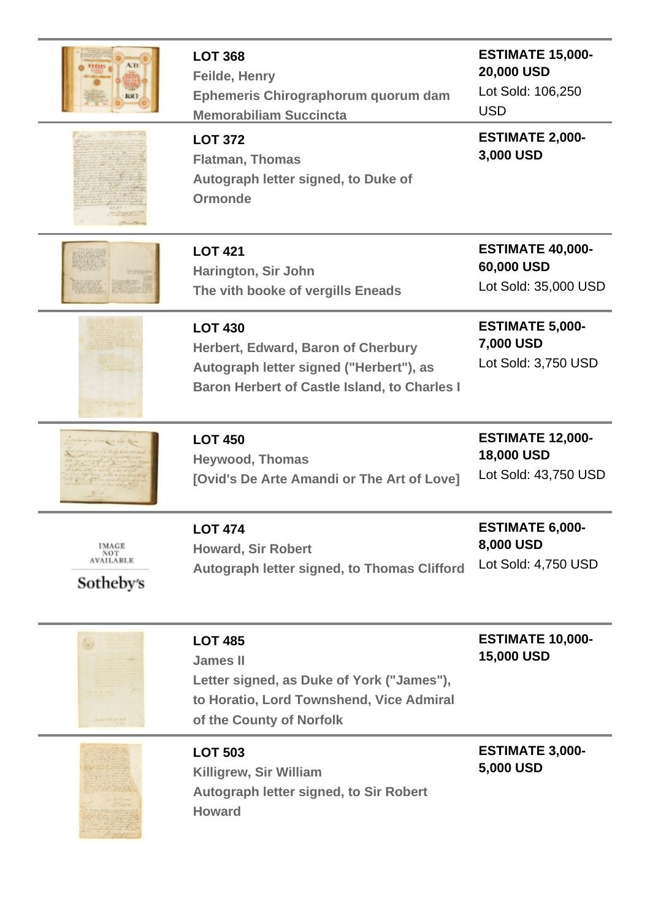| юн                                            | <b>LOT 368</b><br>Feilde, Henry<br>Ephemeris Chirographorum quorum dam<br><b>Memorabiliam Succincta</b>                                                | <b>ESTIMATE 15,000-</b><br>20,000 USD<br>Lot Sold: 106,250<br><b>USD</b> |
|-----------------------------------------------|--------------------------------------------------------------------------------------------------------------------------------------------------------|--------------------------------------------------------------------------|
|                                               | <b>LOT 372</b><br><b>Flatman, Thomas</b><br>Autograph letter signed, to Duke of<br><b>Ormonde</b>                                                      | <b>ESTIMATE 2,000-</b><br>3,000 USD                                      |
|                                               | <b>LOT 421</b><br>Harington, Sir John<br>The vith booke of vergills Eneads                                                                             | <b>ESTIMATE 40,000-</b><br>60,000 USD<br>Lot Sold: 35,000 USD            |
|                                               | <b>LOT 430</b><br>Herbert, Edward, Baron of Cherbury<br>Autograph letter signed ("Herbert"), as<br><b>Baron Herbert of Castle Island, to Charles I</b> | <b>ESTIMATE 5,000-</b><br>7,000 USD<br>Lot Sold: 3,750 USD               |
|                                               | <b>LOT 450</b><br><b>Heywood, Thomas</b><br>[Ovid's De Arte Amandi or The Art of Love]                                                                 | <b>ESTIMATE 12,000-</b><br><b>18,000 USD</b><br>Lot Sold: 43,750 USD     |
| IMAGE<br>NOT<br><b>AVAILABLE</b><br>Sotheby's | <b>LOT 474</b><br><b>Howard, Sir Robert</b><br>Autograph letter signed, to Thomas Clifford                                                             | <b>ESTIMATE 6,000-</b><br>8,000 USD<br>Lot Sold: 4,750 USD               |
|                                               | <b>LOT 485</b><br><b>James II</b><br>Letter signed, as Duke of York ("James"),<br>to Horatio, Lord Townshend, Vice Admiral<br>of the County of Norfolk | <b>ESTIMATE 10,000-</b><br><b>15,000 USD</b>                             |
|                                               | <b>LOT 503</b><br>Killigrew, Sir William<br>Autograph letter signed, to Sir Robert<br><b>Howard</b>                                                    | <b>ESTIMATE 3,000-</b><br>5,000 USD                                      |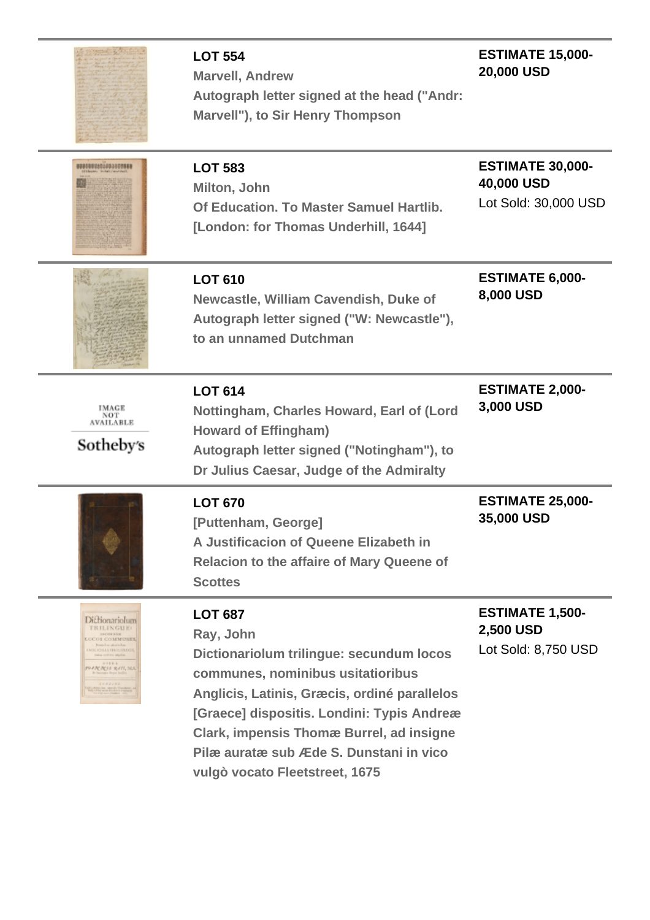|                                                                                                                                                                                                                                                                                               | <b>LOT 554</b><br><b>Marvell, Andrew</b><br>Autograph letter signed at the head ("Andr:<br>Marvell"), to Sir Henry Thompson                                                                                                                                                                                                                | <b>ESTIMATE 15,000-</b><br>20,000 USD                         |
|-----------------------------------------------------------------------------------------------------------------------------------------------------------------------------------------------------------------------------------------------------------------------------------------------|--------------------------------------------------------------------------------------------------------------------------------------------------------------------------------------------------------------------------------------------------------------------------------------------------------------------------------------------|---------------------------------------------------------------|
| 000000000000000000                                                                                                                                                                                                                                                                            | <b>LOT 583</b><br>Milton, John<br>Of Education. To Master Samuel Hartlib.<br>[London: for Thomas Underhill, 1644]                                                                                                                                                                                                                          | <b>ESTIMATE 30,000-</b><br>40,000 USD<br>Lot Sold: 30,000 USD |
|                                                                                                                                                                                                                                                                                               | <b>LOT 610</b><br>Newcastle, William Cavendish, Duke of<br>Autograph letter signed ("W: Newcastle"),<br>to an unnamed Dutchman                                                                                                                                                                                                             | <b>ESTIMATE 6,000-</b><br>8,000 USD                           |
| IMAGE<br>NOT<br><b>AVAILABLE</b><br>Sotheby's                                                                                                                                                                                                                                                 | <b>LOT 614</b><br>Nottingham, Charles Howard, Earl of (Lord<br><b>Howard of Effingham)</b><br>Autograph letter signed ("Notingham"), to<br>Dr Julius Caesar, Judge of the Admiralty                                                                                                                                                        | <b>ESTIMATE 2,000-</b><br>3,000 USD                           |
|                                                                                                                                                                                                                                                                                               | <b>LOT 670</b><br>[Puttenham, George]<br>A Justificacion of Queene Elizabeth in<br><b>Relacion to the affaire of Mary Queene of</b><br><b>Scottes</b>                                                                                                                                                                                      | <b>ESTIMATE 25,000-</b><br>35,000 USD                         |
| <b>Dictionariolum</b><br><b>TRILINGUE:</b><br><b>SECONDIM</b><br>LUCOS COMMUNES<br>Nasiolas atorio bas-<br>MOLICISTATISTS/ORECTS<br>mine station applies.<br><b>GPREA</b><br>9943C3C13 R411, MA<br>return Tryin Bob<br>2033133<br>ber Cleck, Jamester, Channel<br>Frischen der Konstantierung | <b>LOT 687</b><br>Ray, John<br>Dictionariolum trilingue: secundum locos<br>communes, nominibus usitatioribus<br>Anglicis, Latinis, Græcis, ordiné parallelos<br>[Graece] dispositis. Londini: Typis Andreæ<br><b>Clark, impensis Thomæ Burrel, ad insigne</b><br>Pilæ auratæ sub Æde S. Dunstani in vico<br>vulgò vocato Fleetstreet, 1675 | <b>ESTIMATE 1,500-</b><br>2,500 USD<br>Lot Sold: 8,750 USD    |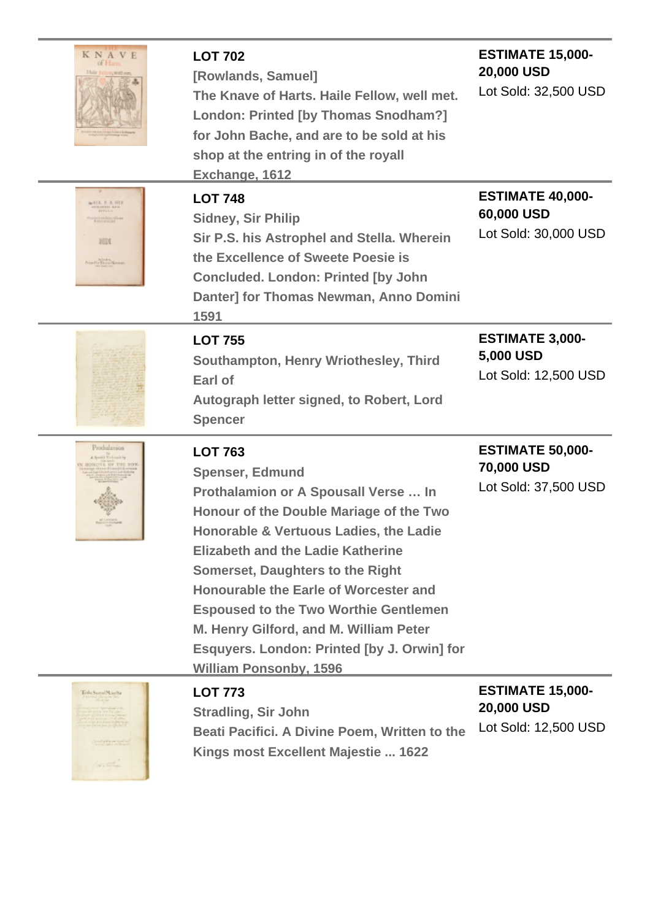| <b>KNAVE</b><br>of H <sub>2</sub><br>Haile 1                                            | <b>LOT 702</b><br>[Rowlands, Samuel]<br>The Knave of Harts. Haile Fellow, well met.<br>London: Printed [by Thomas Snodham?]<br>for John Bache, and are to be sold at his<br>shop at the entring in of the royall<br>Exchange, 1612                                                                                                                                                                                                                                              | <b>ESTIMATE 15,000-</b><br>20,000 USD<br>Lot Sold: 32,500 USD        |
|-----------------------------------------------------------------------------------------|---------------------------------------------------------------------------------------------------------------------------------------------------------------------------------------------------------------------------------------------------------------------------------------------------------------------------------------------------------------------------------------------------------------------------------------------------------------------------------|----------------------------------------------------------------------|
| <b>SIR F. S. HIS</b><br>rch-andron-olfe<br>von in moluitat<br>踏线<br>Friedlin Dorm Newne | <b>LOT 748</b><br><b>Sidney, Sir Philip</b><br>Sir P.S. his Astrophel and Stella. Wherein<br>the Excellence of Sweete Poesie is<br><b>Concluded. London: Printed [by John</b><br>Danter] for Thomas Newman, Anno Domini<br>1591                                                                                                                                                                                                                                                 | <b>ESTIMATE 40,000-</b><br>60,000 USD<br>Lot Sold: 30,000 USD        |
|                                                                                         | <b>LOT 755</b><br>Southampton, Henry Wriothesley, Third<br>Earl of<br>Autograph letter signed, to Robert, Lord<br><b>Spencer</b>                                                                                                                                                                                                                                                                                                                                                | <b>ESTIMATE 3,000-</b><br>5,000 USD<br>Lot Sold: 12,500 USD          |
| Prothalamion<br>A Special Virticants by<br><b>CONE OF THE BOY</b>                       | <b>LOT 763</b><br><b>Spenser, Edmund</b><br>Prothalamion or A Spousall Verse  In<br>Honour of the Double Mariage of the Two<br>Honorable & Vertuous Ladies, the Ladie<br><b>Elizabeth and the Ladie Katherine</b><br><b>Somerset, Daughters to the Right</b><br>Honourable the Earle of Worcester and<br><b>Espoused to the Two Worthie Gentlemen</b><br>M. Henry Gilford, and M. William Peter<br>Esquyers. London: Printed [by J. Orwin] for<br><b>William Ponsonby, 1596</b> | <b>ESTIMATE 50,000-</b><br>70,000 USD<br>Lot Sold: 37,500 USD        |
| Tethe Surrel Mainline<br><b>The Common</b>                                              | <b>LOT 773</b><br><b>Stradling, Sir John</b><br>Beati Pacifici. A Divine Poem, Written to the<br>Kings most Excellent Majestie  1622                                                                                                                                                                                                                                                                                                                                            | <b>ESTIMATE 15,000-</b><br><b>20,000 USD</b><br>Lot Sold: 12,500 USD |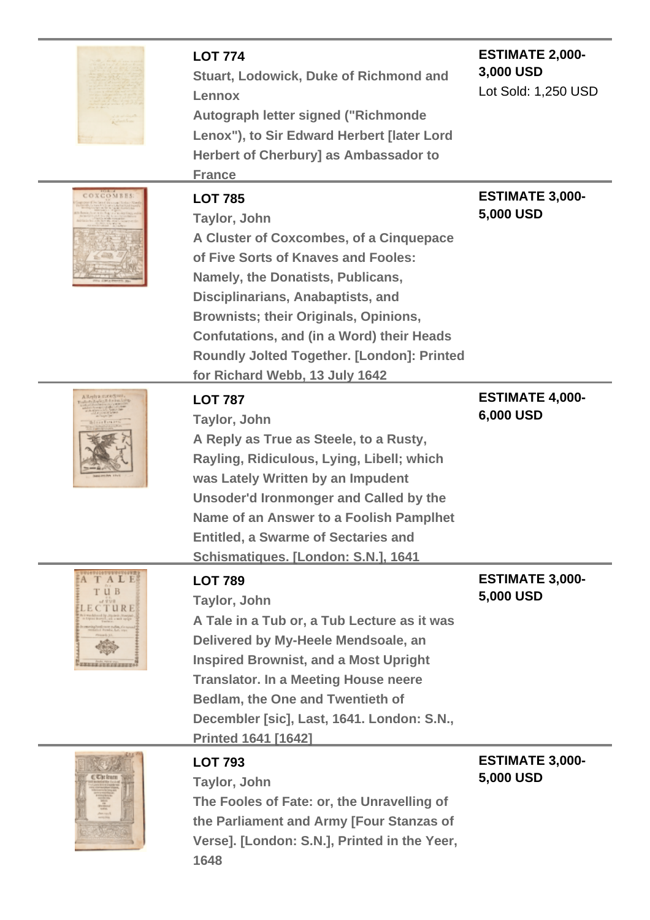|                                              | <b>LOT 774</b><br><b>Stuart, Lodowick, Duke of Richmond and</b><br>Lennox<br>Autograph letter signed ("Richmonde<br>Lenox"), to Sir Edward Herbert [later Lord<br><b>Herbert of Cherbury] as Ambassador to</b><br><b>France</b>                                                                                                                                                       | <b>ESTIMATE 2,000-</b><br>3,000 USD<br>Lot Sold: 1,250 USD |
|----------------------------------------------|---------------------------------------------------------------------------------------------------------------------------------------------------------------------------------------------------------------------------------------------------------------------------------------------------------------------------------------------------------------------------------------|------------------------------------------------------------|
| <b>OXCOMBES</b>                              | <b>LOT 785</b><br>Taylor, John<br>A Cluster of Coxcombes, of a Cinquepace<br>of Five Sorts of Knaves and Fooles:<br>Namely, the Donatists, Publicans,<br>Disciplinarians, Anabaptists, and<br><b>Brownists; their Originals, Opinions,</b><br><b>Confutations, and (in a Word) their Heads</b><br><b>Roundly Jolted Together. [London]: Printed</b><br>for Richard Webb, 13 July 1642 | <b>ESTIMATE 3,000-</b><br>5,000 USD                        |
|                                              | <b>LOT 787</b><br>Taylor, John<br>A Reply as True as Steele, to a Rusty,<br>Rayling, Ridiculous, Lying, Libell; which<br>was Lately Written by an Impudent<br><b>Unsoder'd Ironmonger and Called by the</b><br>Name of an Answer to a Foolish Pamplhet<br><b>Entitled, a Swarme of Sectaries and</b><br>Schismatiques. [London: S.N.], 1641                                           | <b>ESTIMATE 4,000-</b><br>6,000 USD                        |
| A TALE<br>т и в<br><b>EXECUTIVE CONTRACT</b> | <b>LOT 789</b><br>Taylor, John<br>A Tale in a Tub or, a Tub Lecture as it was<br>Delivered by My-Heele Mendsoale, an<br><b>Inspired Brownist, and a Most Upright</b><br><b>Translator. In a Meeting House neere</b><br><b>Bedlam, the One and Twentieth of</b><br>Decembler [sic], Last, 1641. London: S.N.,<br><b>Printed 1641 [1642]</b>                                            | <b>ESTIMATE 3,000-</b><br>5,000 USD                        |
|                                              | <b>LOT 793</b><br>Taylor, John<br>The Fooles of Fate: or, the Unravelling of<br>the Parliament and Army [Four Stanzas of<br>Verse]. [London: S.N.], Printed in the Yeer,<br>1648                                                                                                                                                                                                      | <b>ESTIMATE 3,000-</b><br>5,000 USD                        |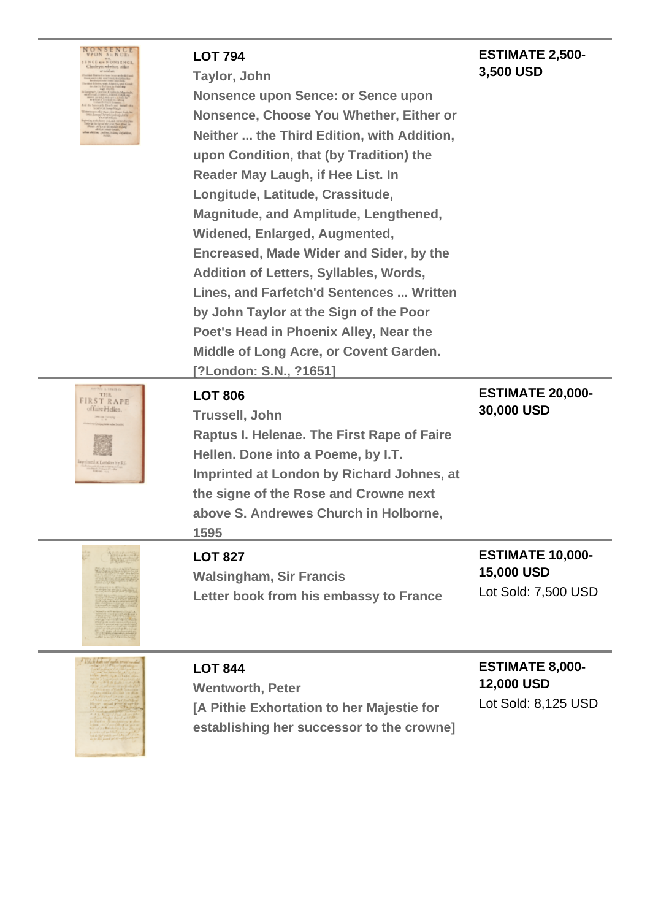| NONSENCE                                                                         |
|----------------------------------------------------------------------------------|
| <b>VPON SENCE</b>                                                                |
|                                                                                  |
| <b>ISNCCOMMUNISHER</b>                                                           |
| Check you whether, wither                                                        |
| or and have                                                                      |
| i Banto do Gase Seumando Bill and<br>Antonio do seu Scient, le nã Sanchae        |
|                                                                                  |
| Some with Addition spot Good<br>in the including to find a key                   |
| Loan, Mar 41                                                                     |
| Larginal - Latitude Conditions May                                               |
| the filling of Look At the Called                                                |
| and the strict of the company<br>of the laneratily Draw and Banker of            |
| broad of all lower black                                                         |
| is their, in a flower that                                                       |
| man Derasticadosipus                                                             |
| g and a home yeal and written by Palo<br>true startigs at the pixe That Blue, or |
| the strain in mobile those                                                       |
| <b>ASLATING</b><br>than sittings, pulling it does if ababilities,                |
| <b>College</b>                                                                   |
|                                                                                  |
|                                                                                  |

#### **LOT 794**

**ESTIMATE 2,500- 3,500 USD**

**Taylor, John**

**Nonsence upon Sence: or Sence upon Nonsence, Choose You Whether, Either or Neither ... the Third Edition, with Addition, upon Condition, that (by Tradition) the Reader May Laugh, if Hee List. In Longitude, Latitude, Crassitude, Magnitude, and Amplitude, Lengthened, Widened, Enlarged, Augmented, Encreased, Made Wider and Sider, by the Addition of Letters, Syllables, Words, Lines, and Farfetch'd Sentences ... Written by John Taylor at the Sign of the Poor Poet's Head in Phoenix Alley, Near the Middle of Long Acre, or Covent Garden. [?London: S.N., ?1651]**



#### **LOT 806**

**Trussell, John Raptus I. Helenae. The First Rape of Faire Hellen. Done into a Poeme, by I.T. Imprinted at London by Richard Johnes, at the signe of the Rose and Crowne next above S. Andrewes Church in Holborne, 1595**

### **ESTIMATE 20,000- 30,000 USD**

## **LOT 827**

**Walsingham, Sir Francis Letter book from his embassy to France**

#### **ESTIMATE 10,000- 15,000 USD** Lot Sold: 7,500 USD



## **LOT 844**

**Wentworth, Peter [A Pithie Exhortation to her Majestie for establishing her successor to the crowne]**

## **ESTIMATE 8,000- 12,000 USD**

Lot Sold: 8,125 USD